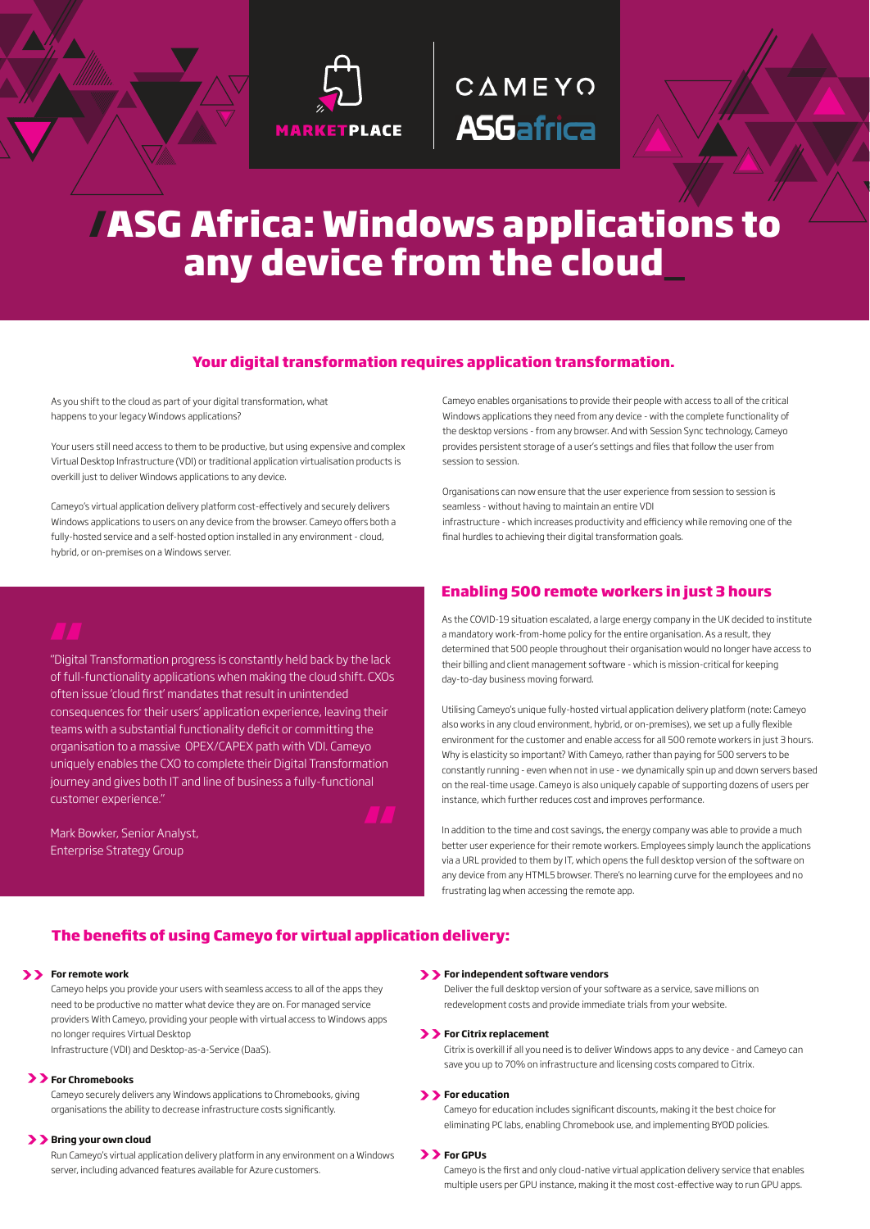

# CAMEYO **ASGafrica**

# **/ASG Africa: Windows applications to any device from the cloud\_**

# **Your digital transformation requires application transformation.**

As you shift to the cloud as part of your digital transformation, what happens to your legacy Windows applications?

Your users still need access to them to be productive, but using expensive and complex Virtual Desktop Infrastructure (VDI) or traditional application virtualisation products is overkill just to deliver Windows applications to any device.

Cameyo's virtual application delivery platform cost-effectively and securely delivers Windows applications to users on any device from the browser. Cameyo offers both a fully-hosted service and a self-hosted option installed in any environment - cloud, hybrid, or on-premises on a Windows server.

Cameyo enables organisations to provide their people with access to all of the critical Windows applications they need from any device - with the complete functionality of the desktop versions - from any browser. And with Session Sync technology, Cameyo provides persistent storage of a user's settings and files that follow the user from session to session.

Organisations can now ensure that the user experience from session to session is seamless - without having to maintain an entire VDI infrastructure - which increases productivity and efficiency while removing one of the final hurdles to achieving their digital transformation goals.

"Digital Transformation progress is constantly held back by the lack of full-functionality applications when making the cloud shift. CXOs often issue 'cloud first' mandates that result in unintended consequences for their users' application experience, leaving their teams with a substantial functionality deficit or committing the organisation to a massive OPEX/CAPEX path with VDI. Cameyo uniquely enables the CXO to complete their Digital Transformation journey and gives both IT and line of business a fully-functional customer experience." **AAA**<br>"Digita"<br>of full-



Mark Bowker, Senior Analyst, Enterprise Strategy Group

# **Enabling 500 remote workers in just 3 hours**

As the COVID-19 situation escalated, a large energy company in the UK decided to institute a mandatory work-from-home policy for the entire organisation. As a result, they determined that 500 people throughout their organisation would no longer have access to their billing and client management software - which is mission-critical for keeping day-to-day business moving forward.

Utilising Cameyo's unique fully-hosted virtual application delivery platform (note: Cameyo also works in any cloud environment, hybrid, or on-premises), we set up a fully flexible environment for the customer and enable access for all 500 remote workers in just 3 hours. Why is elasticity so important? With Cameyo, rather than paying for 500 servers to be constantly running - even when not in use - we dynamically spin up and down servers based on the real-time usage. Cameyo is also uniquely capable of supporting dozens of users per instance, which further reduces cost and improves performance.

In addition to the time and cost savings, the energy company was able to provide a much better user experience for their remote workers. Employees simply launch the applications via a URL provided to them by IT, which opens the full desktop version of the software on any device from any HTML5 browser. There's no learning curve for the employees and no frustrating lag when accessing the remote app.

# **The benefits of using Cameyo for virtual application delivery:**

# **For remote work >> >>**

Cameyo helps you provide your users with seamless access to all of the apps they need to be productive no matter what device they are on. For managed service providers With Cameyo, providing your people with virtual access to Windows apps no longer requires Virtual Desktop

Infrastructure (VDI) and Desktop-as-a-Service (DaaS).

# **For Chromebooks >>**

Cameyo securely delivers any Windows applications to Chromebooks, giving organisations the ability to decrease infrastructure costs significantly.

# **Bring your own cloud >>**

Run Cameyo's virtual application delivery platform in any environment on a Windows server, including advanced features available for Azure customers.

### **For independent software vendors**

Deliver the full desktop version of your software as a service, save millions on redevelopment costs and provide immediate trials from your website.

# **>> For Citrix replacement**

Citrix is overkill if all you need is to deliver Windows apps to any device - and Cameyo can save you up to 70% on infrastructure and licensing costs compared to Citrix.

# **>> For education**

Cameyo for education includes significant discounts, making it the best choice for eliminating PC labs, enabling Chromebook use, and implementing BYOD policies.

# **>> For GPUs**

Cameyo is the first and only cloud-native virtual application delivery service that enables multiple users per GPU instance, making it the most cost-effective way to run GPU apps.